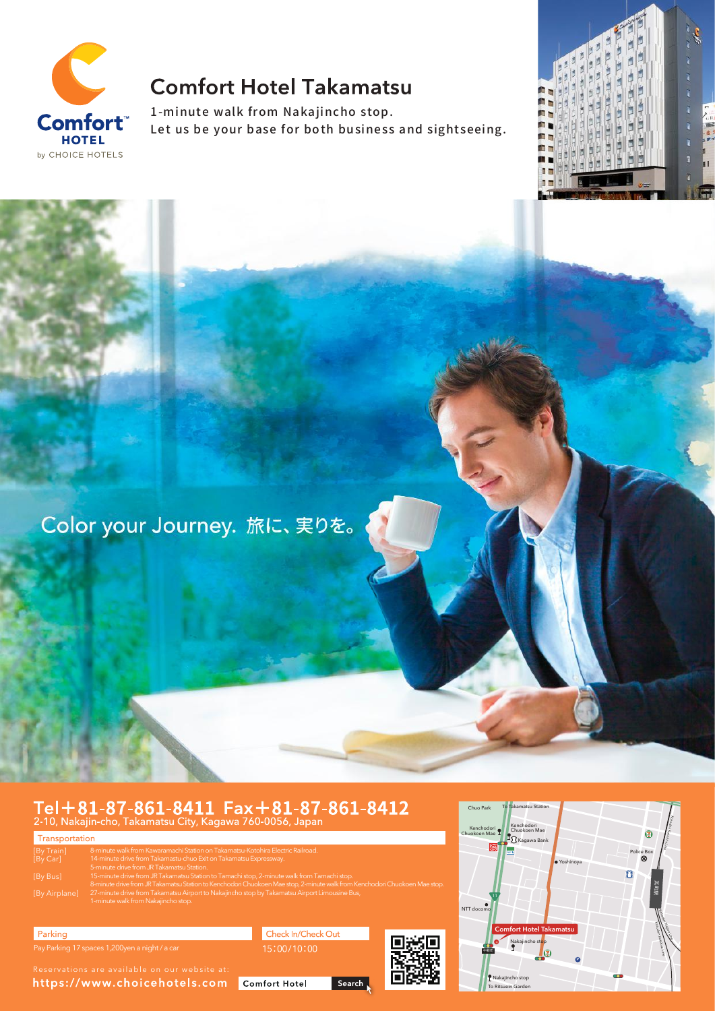

# **Comfort Hotel Takamatsu**

1-minute walk from Nakajincho stop. Let us be your base for both business and sightseeing.



Color your Journey. 旅に、実りを。

# Tel + 81-87-861-8411 Fax + 81-87-861-8412<br>2-10, Nakajin-cho, Takamatsu City, Kagawa 760-0056, Japan

Transportation [By Train] [By Car] 8-minute walk from Kawaramachi Station on Takamatsu-Kotohira Electric Railroad. 15-minute drive from JR Takamatsu Station to Tamachi stop, 2-minute walk from Tamachi stop. 27-minute drive from Takamatsu Airport to Nakajincho stop by Takamatsu Airport Limousine Bus,

Parking

https://www.choicehotels.com Comfort Hotel

Check In/Check Out

Search